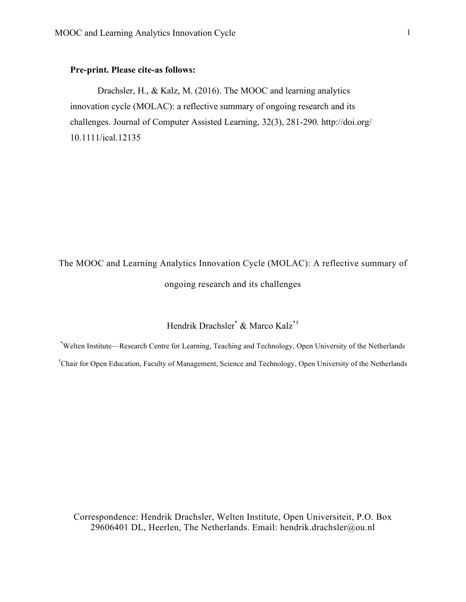## **Pre-print. Please cite-as follows:**

Drachsler, H., & Kalz, M. (2016). The MOOC and learning analytics innovation cycle (MOLAC): a reflective summary of ongoing research and its challenges. Journal of Computer Assisted Learning, 32(3), 281-290. http://doi.org/ 10.1111/jcal.12135

# The MOOC and Learning Analytics Innovation Cycle (MOLAC): A reflective summary of ongoing research and its challenges

# Hendrik Drachsler\* & Marco Kalz\*†

\* Welten Institute—Research Centre for Learning, Teaching and Technology, Open University of the Netherlands † Chair for Open Education, Faculty of Management, Science and Technology, Open University of the Netherlands

Correspondence: Hendrik Drachsler, Welten Institute, Open Universiteit, P.O. Box 29606401 DL, Heerlen, The Netherlands. Email: hendrik.drachsler@ou.nl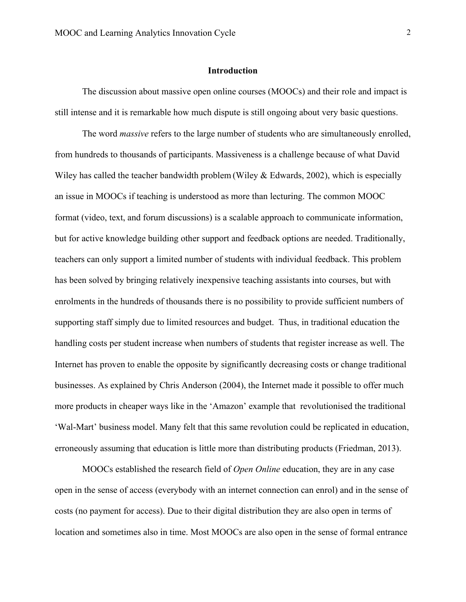#### **Introduction**

The discussion about massive open online courses (MOOCs) and their role and impact is still intense and it is remarkable how much dispute is still ongoing about very basic questions.

The word *massive* refers to the large number of students who are simultaneously enrolled, from hundreds to thousands of participants. Massiveness is a challenge because of what David Wiley has called the teacher bandwidth problem (Wiley & Edwards, 2002), which is especially an issue in MOOCs if teaching is understood as more than lecturing. The common MOOC format (video, text, and forum discussions) is a scalable approach to communicate information, but for active knowledge building other support and feedback options are needed. Traditionally, teachers can only support a limited number of students with individual feedback. This problem has been solved by bringing relatively inexpensive teaching assistants into courses, but with enrolments in the hundreds of thousands there is no possibility to provide sufficient numbers of supporting staff simply due to limited resources and budget. Thus, in traditional education the handling costs per student increase when numbers of students that register increase as well. The Internet has proven to enable the opposite by significantly decreasing costs or change traditional businesses. As explained by Chris Anderson (2004), the Internet made it possible to offer much more products in cheaper ways like in the 'Amazon' example that revolutionised the traditional 'Wal-Mart' business model. Many felt that this same revolution could be replicated in education, erroneously assuming that education is little more than distributing products (Friedman, 2013).

MOOCs established the research field of *Open Online* education, they are in any case open in the sense of access (everybody with an internet connection can enrol) and in the sense of costs (no payment for access). Due to their digital distribution they are also open in terms of location and sometimes also in time. Most MOOCs are also open in the sense of formal entrance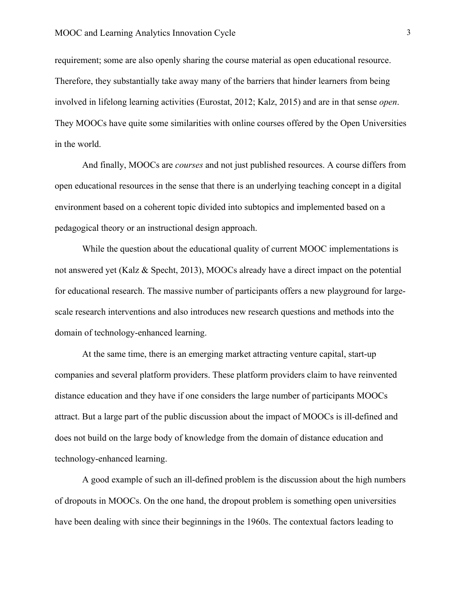requirement; some are also openly sharing the course material as open educational resource. Therefore, they substantially take away many of the barriers that hinder learners from being involved in lifelong learning activities (Eurostat, 2012; Kalz, 2015) and are in that sense *open*. They MOOCs have quite some similarities with online courses offered by the Open Universities in the world.

And finally, MOOCs are *courses* and not just published resources. A course differs from open educational resources in the sense that there is an underlying teaching concept in a digital environment based on a coherent topic divided into subtopics and implemented based on a pedagogical theory or an instructional design approach.

While the question about the educational quality of current MOOC implementations is not answered yet (Kalz & Specht, 2013), MOOCs already have a direct impact on the potential for educational research. The massive number of participants offers a new playground for largescale research interventions and also introduces new research questions and methods into the domain of technology-enhanced learning.

At the same time, there is an emerging market attracting venture capital, start-up companies and several platform providers. These platform providers claim to have reinvented distance education and they have if one considers the large number of participants MOOCs attract. But a large part of the public discussion about the impact of MOOCs is ill-defined and does not build on the large body of knowledge from the domain of distance education and technology-enhanced learning.

A good example of such an ill-defined problem is the discussion about the high numbers of dropouts in MOOCs. On the one hand, the dropout problem is something open universities have been dealing with since their beginnings in the 1960s. The contextual factors leading to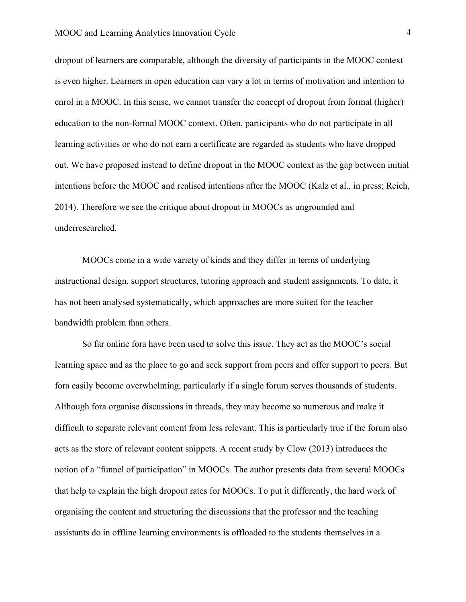dropout of learners are comparable, although the diversity of participants in the MOOC context is even higher. Learners in open education can vary a lot in terms of motivation and intention to enrol in a MOOC. In this sense, we cannot transfer the concept of dropout from formal (higher) education to the non-formal MOOC context. Often, participants who do not participate in all learning activities or who do not earn a certificate are regarded as students who have dropped out. We have proposed instead to define dropout in the MOOC context as the gap between initial intentions before the MOOC and realised intentions after the MOOC (Kalz et al., in press; Reich, 2014). Therefore we see the critique about dropout in MOOCs as ungrounded and underresearched.

MOOCs come in a wide variety of kinds and they differ in terms of underlying instructional design, support structures, tutoring approach and student assignments. To date, it has not been analysed systematically, which approaches are more suited for the teacher bandwidth problem than others.

So far online fora have been used to solve this issue. They act as the MOOC's social learning space and as the place to go and seek support from peers and offer support to peers. But fora easily become overwhelming, particularly if a single forum serves thousands of students. Although fora organise discussions in threads, they may become so numerous and make it difficult to separate relevant content from less relevant. This is particularly true if the forum also acts as the store of relevant content snippets. A recent study by Clow (2013) introduces the notion of a "funnel of participation" in MOOCs. The author presents data from several MOOCs that help to explain the high dropout rates for MOOCs. To put it differently, the hard work of organising the content and structuring the discussions that the professor and the teaching assistants do in offline learning environments is offloaded to the students themselves in a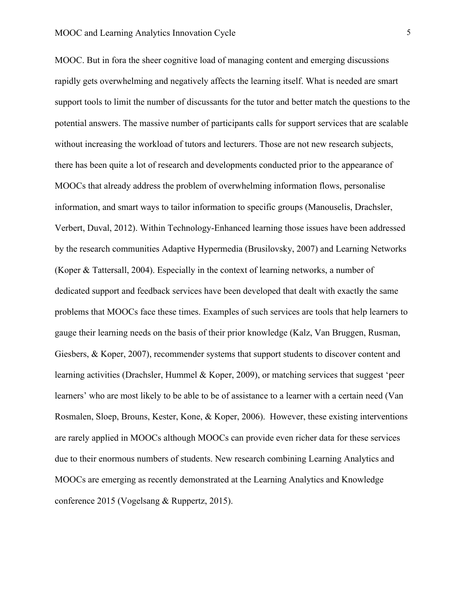MOOC. But in fora the sheer cognitive load of managing content and emerging discussions rapidly gets overwhelming and negatively affects the learning itself. What is needed are smart support tools to limit the number of discussants for the tutor and better match the questions to the potential answers. The massive number of participants calls for support services that are scalable without increasing the workload of tutors and lecturers. Those are not new research subjects, there has been quite a lot of research and developments conducted prior to the appearance of MOOCs that already address the problem of overwhelming information flows, personalise information, and smart ways to tailor information to specific groups (Manouselis, Drachsler, Verbert, Duval, 2012). Within Technology-Enhanced learning those issues have been addressed by the research communities Adaptive Hypermedia (Brusilovsky, 2007) and Learning Networks (Koper & Tattersall, 2004). Especially in the context of learning networks, a number of dedicated support and feedback services have been developed that dealt with exactly the same problems that MOOCs face these times. Examples of such services are tools that help learners to gauge their learning needs on the basis of their prior knowledge (Kalz, Van Bruggen, Rusman, Giesbers, & Koper, 2007), recommender systems that support students to discover content and learning activities (Drachsler, Hummel & Koper, 2009), or matching services that suggest 'peer learners' who are most likely to be able to be of assistance to a learner with a certain need (Van Rosmalen, Sloep, Brouns, Kester, Kone, & Koper, 2006). However, these existing interventions are rarely applied in MOOCs although MOOCs can provide even richer data for these services due to their enormous numbers of students. New research combining Learning Analytics and MOOCs are emerging as recently demonstrated at the Learning Analytics and Knowledge conference 2015 (Vogelsang & Ruppertz, 2015).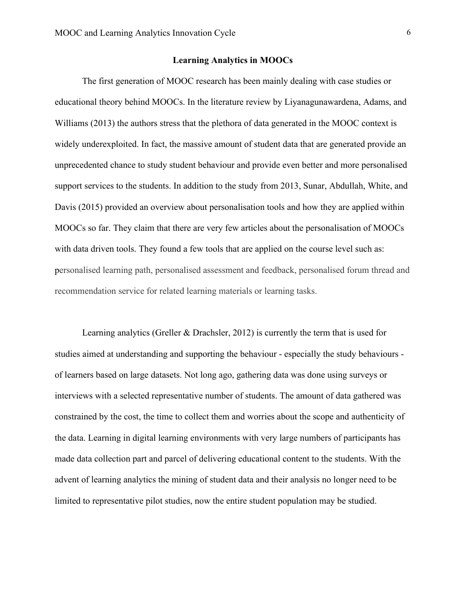#### **Learning Analytics in MOOCs**

The first generation of MOOC research has been mainly dealing with case studies or educational theory behind MOOCs. In the literature review by Liyanagunawardena, Adams, and Williams (2013) the authors stress that the plethora of data generated in the MOOC context is widely underexploited. In fact, the massive amount of student data that are generated provide an unprecedented chance to study student behaviour and provide even better and more personalised support services to the students. In addition to the study from 2013, Sunar, Abdullah, White, and Davis (2015) provided an overview about personalisation tools and how they are applied within MOOCs so far. They claim that there are very few articles about the personalisation of MOOCs with data driven tools. They found a few tools that are applied on the course level such as: personalised learning path, personalised assessment and feedback, personalised forum thread and recommendation service for related learning materials or learning tasks.

Learning analytics (Greller & Drachsler, 2012) is currently the term that is used for studies aimed at understanding and supporting the behaviour - especially the study behaviours of learners based on large datasets. Not long ago, gathering data was done using surveys or interviews with a selected representative number of students. The amount of data gathered was constrained by the cost, the time to collect them and worries about the scope and authenticity of the data. Learning in digital learning environments with very large numbers of participants has made data collection part and parcel of delivering educational content to the students. With the advent of learning analytics the mining of student data and their analysis no longer need to be limited to representative pilot studies, now the entire student population may be studied.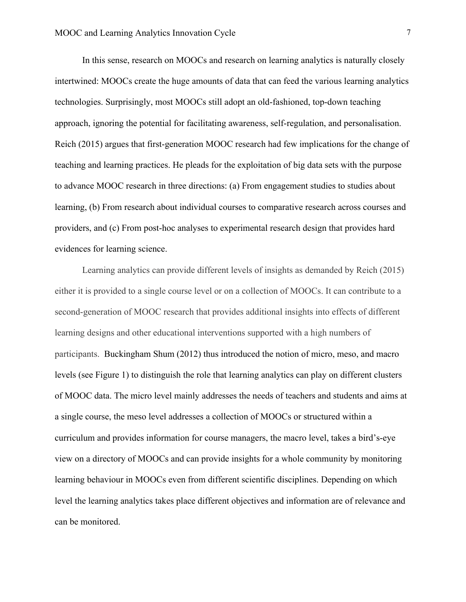In this sense, research on MOOCs and research on learning analytics is naturally closely intertwined: MOOCs create the huge amounts of data that can feed the various learning analytics technologies. Surprisingly, most MOOCs still adopt an old-fashioned, top-down teaching approach, ignoring the potential for facilitating awareness, self-regulation, and personalisation. Reich (2015) argues that first-generation MOOC research had few implications for the change of teaching and learning practices. He pleads for the exploitation of big data sets with the purpose to advance MOOC research in three directions: (a) From engagement studies to studies about learning, (b) From research about individual courses to comparative research across courses and providers, and (c) From post-hoc analyses to experimental research design that provides hard evidences for learning science.

Learning analytics can provide different levels of insights as demanded by Reich (2015) either it is provided to a single course level or on a collection of MOOCs. It can contribute to a second-generation of MOOC research that provides additional insights into effects of different learning designs and other educational interventions supported with a high numbers of participants. Buckingham Shum (2012) thus introduced the notion of micro, meso, and macro levels (see Figure 1) to distinguish the role that learning analytics can play on different clusters of MOOC data. The micro level mainly addresses the needs of teachers and students and aims at a single course, the meso level addresses a collection of MOOCs or structured within a curriculum and provides information for course managers, the macro level, takes a bird's-eye view on a directory of MOOCs and can provide insights for a whole community by monitoring learning behaviour in MOOCs even from different scientific disciplines. Depending on which level the learning analytics takes place different objectives and information are of relevance and can be monitored.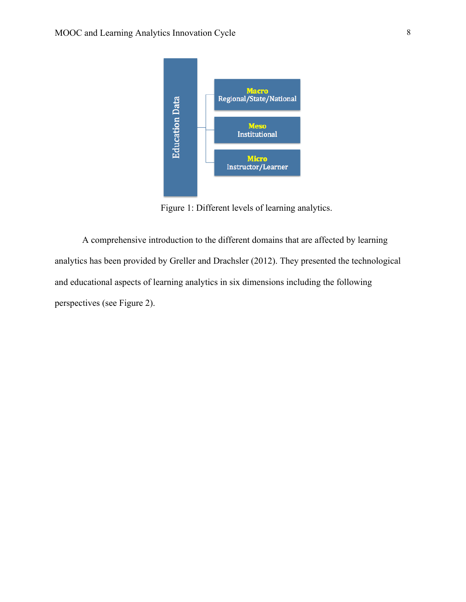

Figure 1: Different levels of learning analytics.

A comprehensive introduction to the different domains that are affected by learning analytics has been provided by Greller and Drachsler (2012). They presented the technological and educational aspects of learning analytics in six dimensions including the following perspectives (see Figure 2).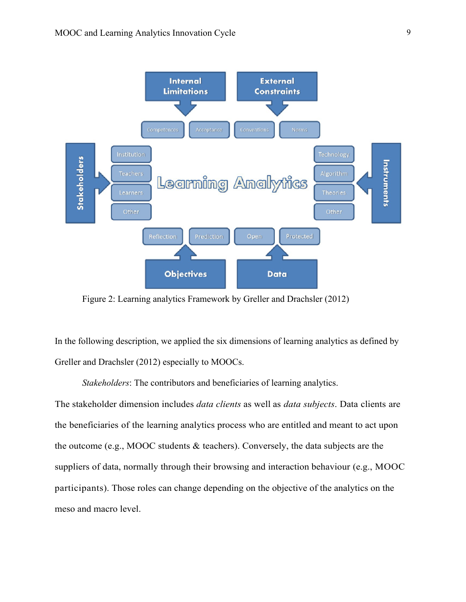

Figure 2: Learning analytics Framework by Greller and Drachsler (2012)

In the following description, we applied the six dimensions of learning analytics as defined by Greller and Drachsler (2012) especially to MOOCs.

*Stakeholders*: The contributors and beneficiaries of learning analytics.

The stakeholder dimension includes *data clients* as well as *data subjects*. Data clients are the beneficiaries of the learning analytics process who are entitled and meant to act upon the outcome (e.g., MOOC students & teachers). Conversely, the data subjects are the suppliers of data, normally through their browsing and interaction behaviour (e.g., MOOC participants). Those roles can change depending on the objective of the analytics on the meso and macro level.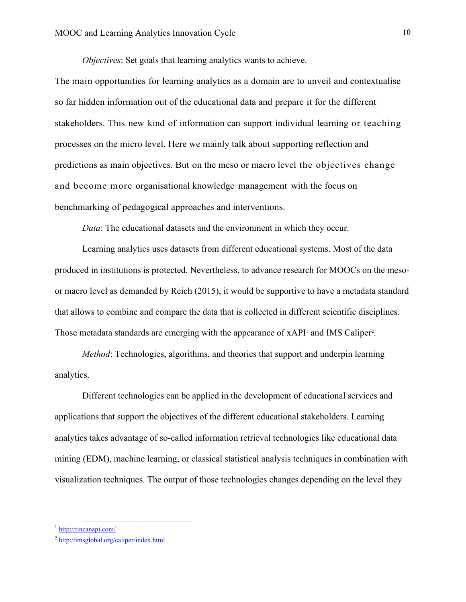*Objectives*: Set goals that learning analytics wants to achieve.

The main opportunities for learning analytics as a domain are to unveil and contextualise so far hidden information out of the educational data and prepare it for the different stakeholders. This new kind of information can support individual learning or teaching processes on the micro level. Here we mainly talk about supporting reflection and predictions as main objectives. But on the meso or macro level the objectives change and become more organisational knowledge management with the focus on benchmarking of pedagogical approaches and interventions.

*Data*: The educational datasets and the environment in which they occur.

Learning analytics uses datasets from different educational systems. Most of the data produced in institutions is protected. Nevertheless, to advance research for MOOCs on the mesoor macro level as demanded by Reich (2015), it would be supportive to have a metadata standard that allows to combine and compare the data that is collected in different scientific disciplines. Those metadata standards are emerging with the appearance of xAPI<sup>1</sup> and IMS Caliper<sup>2</sup>.

*Method*: Technologies, algorithms, and theories that support and underpin learning analytics.

Different technologies can be applied in the development of educational services and applications that support the objectives of the different educational stakeholders. Learning analytics takes advantage of so-called information retrieval technologies like educational data mining (EDM), machine learning, or classical statistical analysis techniques in combination with visualization techniques. The output of those technologies changes depending on the level they

 $<sup>1</sup>$  http://tincanapi.com/</sup>

<sup>2</sup> http://imsglobal.org/caliper/index.html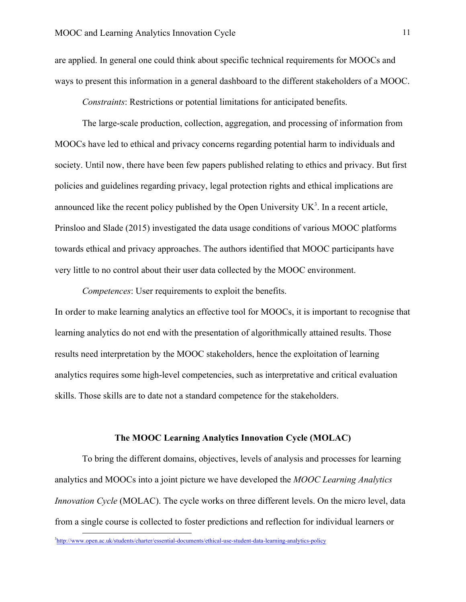are applied. In general one could think about specific technical requirements for MOOCs and ways to present this information in a general dashboard to the different stakeholders of a MOOC.

*Constraints*: Restrictions or potential limitations for anticipated benefits.

The large-scale production, collection, aggregation, and processing of information from MOOCs have led to ethical and privacy concerns regarding potential harm to individuals and society. Until now, there have been few papers published relating to ethics and privacy. But first policies and guidelines regarding privacy, legal protection rights and ethical implications are announced like the recent policy published by the Open University  $UK<sup>3</sup>$ . In a recent article, Prinsloo and Slade (2015) investigated the data usage conditions of various MOOC platforms towards ethical and privacy approaches. The authors identified that MOOC participants have very little to no control about their user data collected by the MOOC environment.

*Competences*: User requirements to exploit the benefits.

In order to make learning analytics an effective tool for MOOCs, it is important to recognise that learning analytics do not end with the presentation of algorithmically attained results. Those results need interpretation by the MOOC stakeholders, hence the exploitation of learning analytics requires some high-level competencies, such as interpretative and critical evaluation skills. Those skills are to date not a standard competence for the stakeholders.

#### **The MOOC Learning Analytics Innovation Cycle (MOLAC)**

To bring the different domains, objectives, levels of analysis and processes for learning analytics and MOOCs into a joint picture we have developed the *MOOC Learning Analytics Innovation Cycle* (MOLAC). The cycle works on three different levels. On the micro level, data from a single course is collected to foster predictions and reflection for individual learners or

3 http://www.open.ac.uk/students/charter/essential-documents/ethical-use-student-data-learning-analytics-policy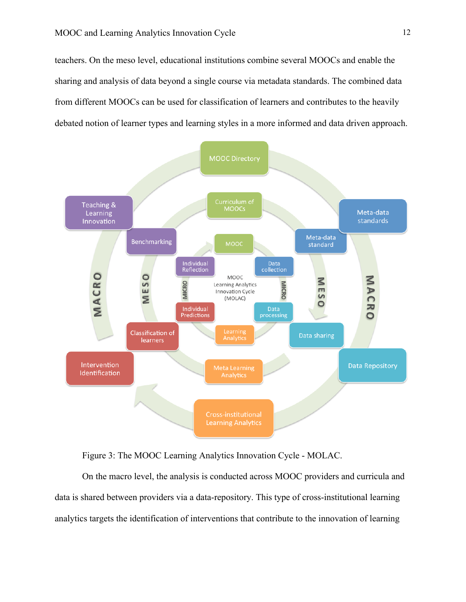teachers. On the meso level, educational institutions combine several MOOCs and enable the sharing and analysis of data beyond a single course via metadata standards. The combined data from different MOOCs can be used for classification of learners and contributes to the heavily debated notion of learner types and learning styles in a more informed and data driven approach.



Figure 3: The MOOC Learning Analytics Innovation Cycle - MOLAC.

On the macro level, the analysis is conducted across MOOC providers and curricula and data is shared between providers via a data-repository. This type of cross-institutional learning analytics targets the identification of interventions that contribute to the innovation of learning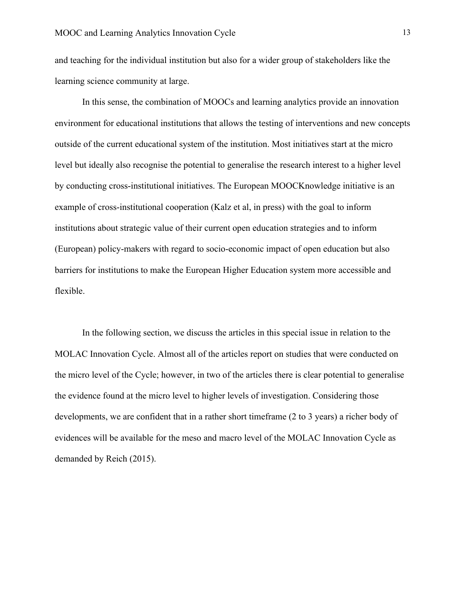and teaching for the individual institution but also for a wider group of stakeholders like the learning science community at large.

In this sense, the combination of MOOCs and learning analytics provide an innovation environment for educational institutions that allows the testing of interventions and new concepts outside of the current educational system of the institution. Most initiatives start at the micro level but ideally also recognise the potential to generalise the research interest to a higher level by conducting cross-institutional initiatives. The European MOOCKnowledge initiative is an example of cross-institutional cooperation (Kalz et al, in press) with the goal to inform institutions about strategic value of their current open education strategies and to inform (European) policy-makers with regard to socio-economic impact of open education but also barriers for institutions to make the European Higher Education system more accessible and flexible.

In the following section, we discuss the articles in this special issue in relation to the MOLAC Innovation Cycle. Almost all of the articles report on studies that were conducted on the micro level of the Cycle; however, in two of the articles there is clear potential to generalise the evidence found at the micro level to higher levels of investigation. Considering those developments, we are confident that in a rather short timeframe (2 to 3 years) a richer body of evidences will be available for the meso and macro level of the MOLAC Innovation Cycle as demanded by Reich (2015).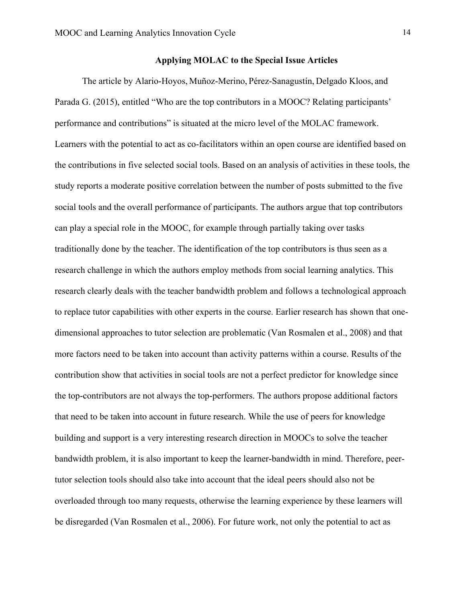The article by Alario-Hoyos, Muñoz-Merino, Pérez-Sanagustín, Delgado Kloos, and Parada G. (2015), entitled "Who are the top contributors in a MOOC? Relating participants' performance and contributions" is situated at the micro level of the MOLAC framework. Learners with the potential to act as co-facilitators within an open course are identified based on the contributions in five selected social tools. Based on an analysis of activities in these tools, the study reports a moderate positive correlation between the number of posts submitted to the five social tools and the overall performance of participants. The authors argue that top contributors can play a special role in the MOOC, for example through partially taking over tasks traditionally done by the teacher. The identification of the top contributors is thus seen as a research challenge in which the authors employ methods from social learning analytics. This research clearly deals with the teacher bandwidth problem and follows a technological approach to replace tutor capabilities with other experts in the course. Earlier research has shown that onedimensional approaches to tutor selection are problematic (Van Rosmalen et al., 2008) and that more factors need to be taken into account than activity patterns within a course. Results of the contribution show that activities in social tools are not a perfect predictor for knowledge since the top-contributors are not always the top-performers. The authors propose additional factors that need to be taken into account in future research. While the use of peers for knowledge building and support is a very interesting research direction in MOOCs to solve the teacher bandwidth problem, it is also important to keep the learner-bandwidth in mind. Therefore, peertutor selection tools should also take into account that the ideal peers should also not be overloaded through too many requests, otherwise the learning experience by these learners will be disregarded (Van Rosmalen et al., 2006). For future work, not only the potential to act as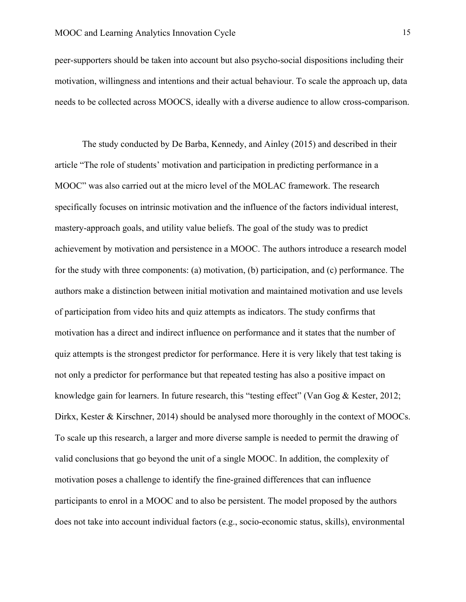peer-supporters should be taken into account but also psycho-social dispositions including their motivation, willingness and intentions and their actual behaviour. To scale the approach up, data needs to be collected across MOOCS, ideally with a diverse audience to allow cross-comparison.

The study conducted by De Barba, Kennedy, and Ainley (2015) and described in their article "The role of students' motivation and participation in predicting performance in a MOOC" was also carried out at the micro level of the MOLAC framework. The research specifically focuses on intrinsic motivation and the influence of the factors individual interest, mastery-approach goals, and utility value beliefs. The goal of the study was to predict achievement by motivation and persistence in a MOOC. The authors introduce a research model for the study with three components: (a) motivation, (b) participation, and (c) performance. The authors make a distinction between initial motivation and maintained motivation and use levels of participation from video hits and quiz attempts as indicators. The study confirms that motivation has a direct and indirect influence on performance and it states that the number of quiz attempts is the strongest predictor for performance. Here it is very likely that test taking is not only a predictor for performance but that repeated testing has also a positive impact on knowledge gain for learners. In future research, this "testing effect" (Van Gog & Kester, 2012; Dirkx, Kester & Kirschner, 2014) should be analysed more thoroughly in the context of MOOCs. To scale up this research, a larger and more diverse sample is needed to permit the drawing of valid conclusions that go beyond the unit of a single MOOC. In addition, the complexity of motivation poses a challenge to identify the fine-grained differences that can influence participants to enrol in a MOOC and to also be persistent. The model proposed by the authors does not take into account individual factors (e.g., socio-economic status, skills), environmental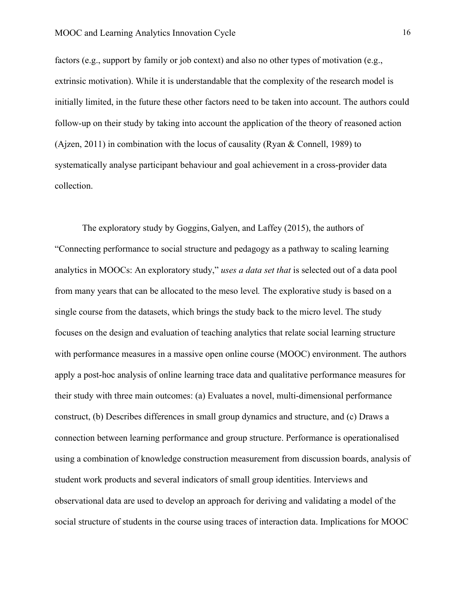factors (e.g., support by family or job context) and also no other types of motivation (e.g., extrinsic motivation). While it is understandable that the complexity of the research model is initially limited, in the future these other factors need to be taken into account. The authors could follow-up on their study by taking into account the application of the theory of reasoned action (Ajzen, 2011) in combination with the locus of causality (Ryan & Connell, 1989) to systematically analyse participant behaviour and goal achievement in a cross-provider data collection.

The exploratory study by Goggins, Galyen, and Laffey (2015), the authors of "Connecting performance to social structure and pedagogy as a pathway to scaling learning analytics in MOOCs: An exploratory study," *uses a data set that* is selected out of a data pool from many years that can be allocated to the meso level*.* The explorative study is based on a single course from the datasets, which brings the study back to the micro level. The study focuses on the design and evaluation of teaching analytics that relate social learning structure with performance measures in a massive open online course (MOOC) environment. The authors apply a post-hoc analysis of online learning trace data and qualitative performance measures for their study with three main outcomes: (a) Evaluates a novel, multi-dimensional performance construct, (b) Describes differences in small group dynamics and structure, and (c) Draws a connection between learning performance and group structure. Performance is operationalised using a combination of knowledge construction measurement from discussion boards, analysis of student work products and several indicators of small group identities. Interviews and observational data are used to develop an approach for deriving and validating a model of the social structure of students in the course using traces of interaction data. Implications for MOOC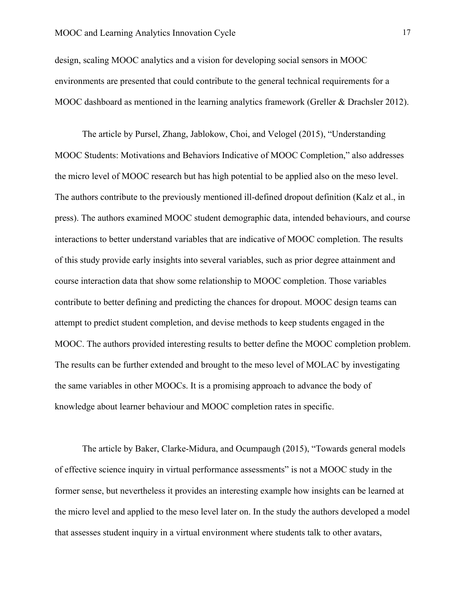# MOOC and Learning Analytics Innovation Cycle 17

design, scaling MOOC analytics and a vision for developing social sensors in MOOC environments are presented that could contribute to the general technical requirements for a MOOC dashboard as mentioned in the learning analytics framework (Greller & Drachsler 2012).

The article by Pursel, Zhang, Jablokow, Choi, and Velogel (2015), "Understanding MOOC Students: Motivations and Behaviors Indicative of MOOC Completion," also addresses the micro level of MOOC research but has high potential to be applied also on the meso level. The authors contribute to the previously mentioned ill-defined dropout definition (Kalz et al., in press). The authors examined MOOC student demographic data, intended behaviours, and course interactions to better understand variables that are indicative of MOOC completion. The results of this study provide early insights into several variables, such as prior degree attainment and course interaction data that show some relationship to MOOC completion. Those variables contribute to better defining and predicting the chances for dropout. MOOC design teams can attempt to predict student completion, and devise methods to keep students engaged in the MOOC. The authors provided interesting results to better define the MOOC completion problem. The results can be further extended and brought to the meso level of MOLAC by investigating the same variables in other MOOCs. It is a promising approach to advance the body of knowledge about learner behaviour and MOOC completion rates in specific.

The article by Baker, Clarke-Midura, and Ocumpaugh (2015), "Towards general models of effective science inquiry in virtual performance assessments" is not a MOOC study in the former sense, but nevertheless it provides an interesting example how insights can be learned at the micro level and applied to the meso level later on. In the study the authors developed a model that assesses student inquiry in a virtual environment where students talk to other avatars,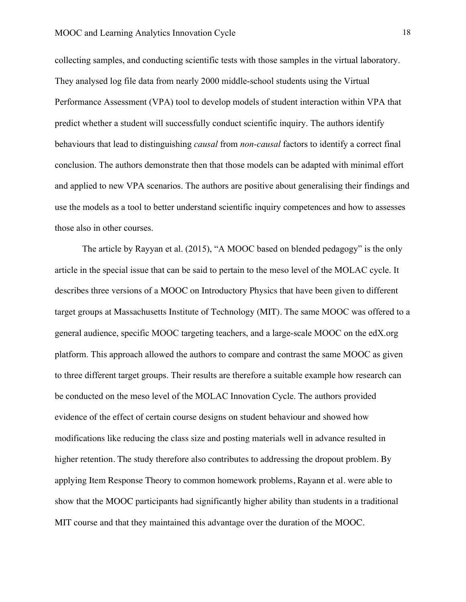collecting samples, and conducting scientific tests with those samples in the virtual laboratory. They analysed log file data from nearly 2000 middle-school students using the Virtual Performance Assessment (VPA) tool to develop models of student interaction within VPA that predict whether a student will successfully conduct scientific inquiry. The authors identify behaviours that lead to distinguishing *causal* from *non-causal* factors to identify a correct final conclusion. The authors demonstrate then that those models can be adapted with minimal effort and applied to new VPA scenarios. The authors are positive about generalising their findings and use the models as a tool to better understand scientific inquiry competences and how to assesses those also in other courses.

The article by Rayyan et al. (2015), "A MOOC based on blended pedagogy" is the only article in the special issue that can be said to pertain to the meso level of the MOLAC cycle. It describes three versions of a MOOC on Introductory Physics that have been given to different target groups at Massachusetts Institute of Technology (MIT). The same MOOC was offered to a general audience, specific MOOC targeting teachers, and a large-scale MOOC on the edX.org platform. This approach allowed the authors to compare and contrast the same MOOC as given to three different target groups. Their results are therefore a suitable example how research can be conducted on the meso level of the MOLAC Innovation Cycle. The authors provided evidence of the effect of certain course designs on student behaviour and showed how modifications like reducing the class size and posting materials well in advance resulted in higher retention. The study therefore also contributes to addressing the dropout problem. By applying Item Response Theory to common homework problems, Rayann et al. were able to show that the MOOC participants had significantly higher ability than students in a traditional MIT course and that they maintained this advantage over the duration of the MOOC.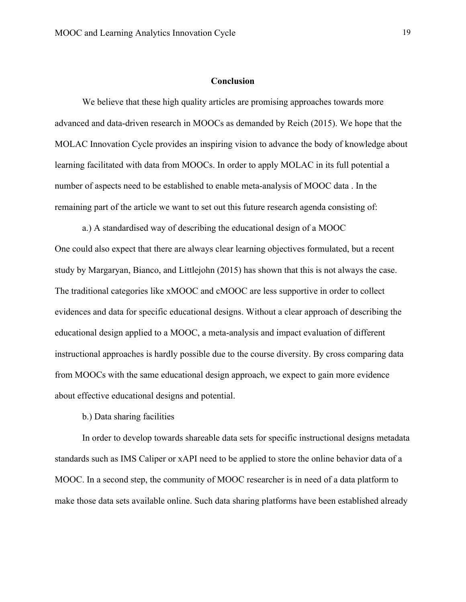## **Conclusion**

We believe that these high quality articles are promising approaches towards more advanced and data-driven research in MOOCs as demanded by Reich (2015). We hope that the MOLAC Innovation Cycle provides an inspiring vision to advance the body of knowledge about learning facilitated with data from MOOCs. In order to apply MOLAC in its full potential a number of aspects need to be established to enable meta-analysis of MOOC data . In the remaining part of the article we want to set out this future research agenda consisting of:

a.) A standardised way of describing the educational design of a MOOC One could also expect that there are always clear learning objectives formulated, but a recent study by Margaryan, Bianco, and Littlejohn (2015) has shown that this is not always the case. The traditional categories like xMOOC and cMOOC are less supportive in order to collect evidences and data for specific educational designs. Without a clear approach of describing the educational design applied to a MOOC, a meta-analysis and impact evaluation of different instructional approaches is hardly possible due to the course diversity. By cross comparing data from MOOCs with the same educational design approach, we expect to gain more evidence about effective educational designs and potential.

b.) Data sharing facilities

In order to develop towards shareable data sets for specific instructional designs metadata standards such as IMS Caliper or xAPI need to be applied to store the online behavior data of a MOOC. In a second step, the community of MOOC researcher is in need of a data platform to make those data sets available online. Such data sharing platforms have been established already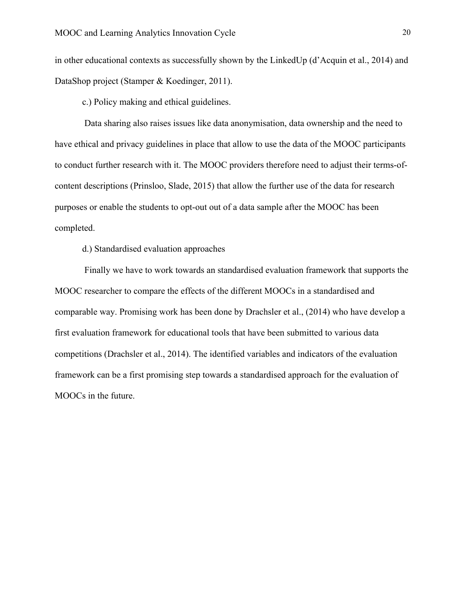in other educational contexts as successfully shown by the LinkedUp (d'Acquin et al., 2014) and DataShop project (Stamper & Koedinger, 2011).

c.) Policy making and ethical guidelines.

Data sharing also raises issues like data anonymisation, data ownership and the need to have ethical and privacy guidelines in place that allow to use the data of the MOOC participants to conduct further research with it. The MOOC providers therefore need to adjust their terms-ofcontent descriptions (Prinsloo, Slade, 2015) that allow the further use of the data for research purposes or enable the students to opt-out out of a data sample after the MOOC has been completed.

d.) Standardised evaluation approaches

Finally we have to work towards an standardised evaluation framework that supports the MOOC researcher to compare the effects of the different MOOCs in a standardised and comparable way. Promising work has been done by Drachsler et al., (2014) who have develop a first evaluation framework for educational tools that have been submitted to various data competitions (Drachsler et al., 2014). The identified variables and indicators of the evaluation framework can be a first promising step towards a standardised approach for the evaluation of MOOCs in the future.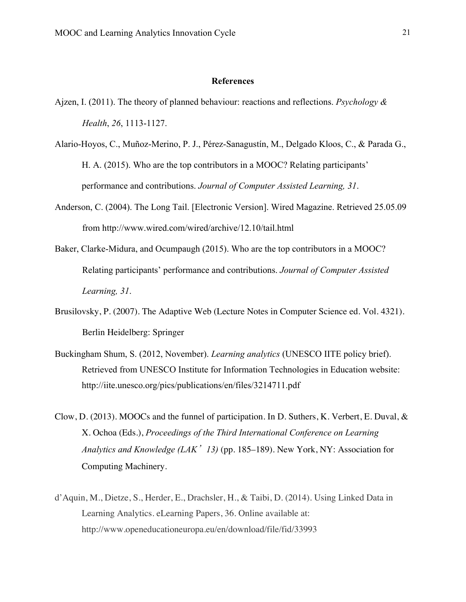# **References**

- Ajzen, I. (2011). The theory of planned behaviour: reactions and reflections. *Psychology & Health*, *26*, 1113-1127.
- Alario-Hoyos, C., Muñoz-Merino, P. J., Pérez-Sanagustín, M., Delgado Kloos, C., & Parada G., H. A. (2015). Who are the top contributors in a MOOC? Relating participants' performance and contributions. *Journal of Computer Assisted Learning, 31*.
- Anderson, C. (2004). The Long Tail. [Electronic Version]. Wired Magazine. Retrieved 25.05.09 from http://www.wired.com/wired/archive/12.10/tail.html
- Baker, Clarke-Midura, and Ocumpaugh (2015). Who are the top contributors in a MOOC? Relating participants' performance and contributions. *Journal of Computer Assisted Learning, 31*.
- Brusilovsky, P. (2007). The Adaptive Web (Lecture Notes in Computer Science ed. Vol. 4321). Berlin Heidelberg: Springer
- Buckingham Shum, S. (2012, November). *Learning analytics* (UNESCO IITE policy brief). Retrieved from UNESCO Institute for Information Technologies in Education website: http://iite.unesco.org/pics/publications/en/files/3214711.pdf
- Clow, D. (2013). MOOCs and the funnel of participation. In D. Suthers, K. Verbert, E. Duval, & X. Ochoa (Eds.), *Proceedings of the Third International Conference on Learning Analytics and Knowledge (LAK*'*13)* (pp. 185–189). New York, NY: Association for Computing Machinery.
- d'Aquin, M., Dietze, S., Herder, E., Drachsler, H., & Taibi, D. (2014). Using Linked Data in Learning Analytics. eLearning Papers, 36. Online available at: http://www.openeducationeuropa.eu/en/download/file/fid/33993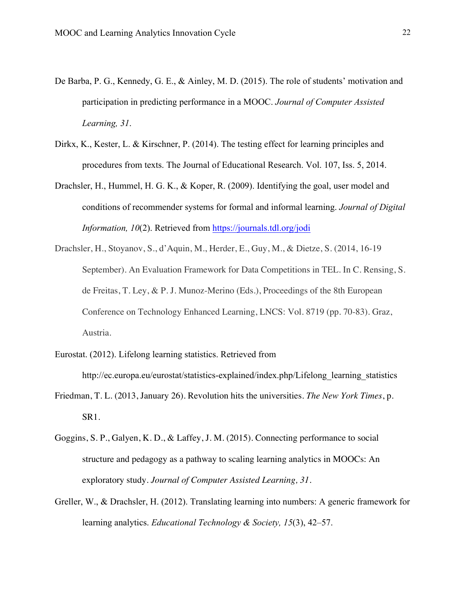- De Barba, P. G., Kennedy, G. E., & Ainley, M. D. (2015). The role of students' motivation and participation in predicting performance in a MOOC. *Journal of Computer Assisted Learning, 31*.
- Dirkx, K., Kester, L. & Kirschner, P. (2014). The testing effect for learning principles and procedures from texts. The Journal of Educational Research. Vol. 107, Iss. 5, 2014.
- Drachsler, H., Hummel, H. G. K., & Koper, R. (2009). Identifying the goal, user model and conditions of recommender systems for formal and informal learning. *Journal of Digital Information, 10*(2). Retrieved from https://journals.tdl.org/jodi
- Drachsler, H., Stoyanov, S., d'Aquin, M., Herder, E., Guy, M., & Dietze, S. (2014, 16-19 September). An Evaluation Framework for Data Competitions in TEL. In C. Rensing, S. de Freitas, T. Ley, & P. J. Munoz-Merino (Eds.), Proceedings of the 8th European Conference on Technology Enhanced Learning, LNCS: Vol. 8719 (pp. 70-83). Graz, Austria.
- Eurostat. (2012). Lifelong learning statistics. Retrieved from http://ec.europa.eu/eurostat/statistics-explained/index.php/Lifelong\_learning\_statistics
- Friedman, T. L. (2013, January 26). Revolution hits the universities. *The New York Times*, p. SR1.
- Goggins, S. P., Galyen, K. D., & Laffey, J. M. (2015). Connecting performance to social structure and pedagogy as a pathway to scaling learning analytics in MOOCs: An exploratory study. *Journal of Computer Assisted Learning, 31*.
- Greller, W., & Drachsler, H. (2012). Translating learning into numbers: A generic framework for learning analytics. *Educational Technology & Society, 15*(3), 42–57.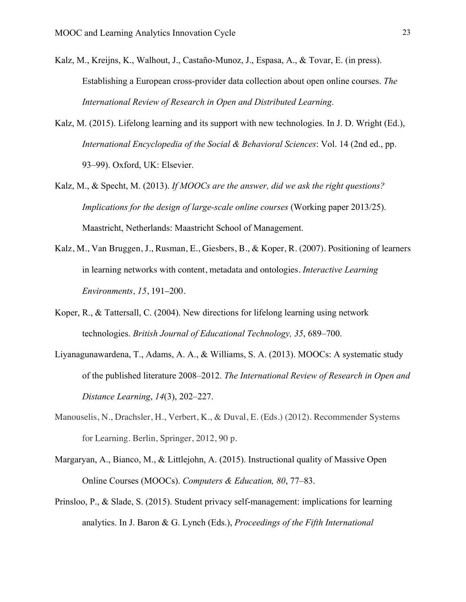- Kalz, M., Kreijns, K., Walhout, J., Castaño-Munoz, J., Espasa, A., & Tovar, E. (in press). Establishing a European cross-provider data collection about open online courses. *The International Review of Research in Open and Distributed Learning*.
- Kalz, M. (2015). Lifelong learning and its support with new technologies. In J. D. Wright (Ed.), *International Encyclopedia of the Social & Behavioral Sciences*: Vol. 14 (2nd ed., pp. 93–99). Oxford, UK: Elsevier.
- Kalz, M., & Specht, M. (2013). *If MOOCs are the answer, did we ask the right questions? Implications for the design of large-scale online courses* (Working paper 2013/25). Maastricht, Netherlands: Maastricht School of Management.
- Kalz, M., Van Bruggen, J., Rusman, E., Giesbers, B., & Koper, R. (2007). Positioning of learners in learning networks with content, metadata and ontologies. *Interactive Learning Environments, 15*, 191–200.
- Koper, R., & Tattersall, C. (2004). New directions for lifelong learning using network technologies. *British Journal of Educational Technology, 35*, 689–700.
- Liyanagunawardena, T., Adams, A. A., & Williams, S. A. (2013). MOOCs: A systematic study of the published literature 2008–2012. *The International Review of Research in Open and Distance Learning*, *14*(3), 202–227.
- Manouselis, N., Drachsler, H., Verbert, K., & Duval, E. (Eds.) (2012). Recommender Systems for Learning. Berlin, Springer, 2012, 90 p.
- Margaryan, A., Bianco, M., & Littlejohn, A. (2015). Instructional quality of Massive Open Online Courses (MOOCs). *Computers & Education, 80*, 77–83.
- Prinsloo, P., & Slade, S. (2015). Student privacy self-management: implications for learning analytics. In J. Baron & G. Lynch (Eds.), *Proceedings of the Fifth International*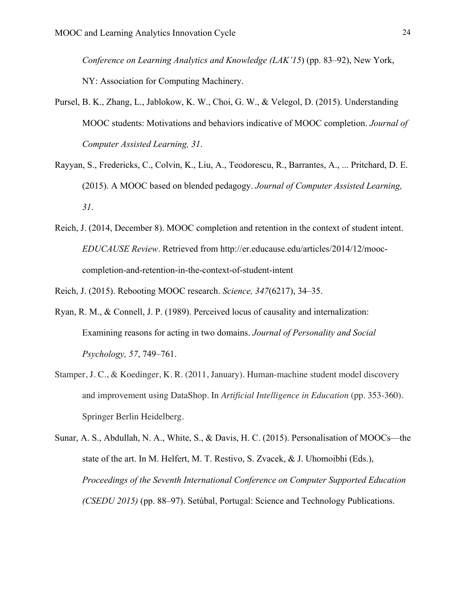*Conference on Learning Analytics and Knowledge (LAK'15*) (pp. 83–92), New York, NY: Association for Computing Machinery.

- Pursel, B. K., Zhang, L., Jablokow, K. W., Choi, G. W., & Velegol, D. (2015). Understanding MOOC students: Motivations and behaviors indicative of MOOC completion. *Journal of Computer Assisted Learning, 31*.
- Rayyan, S., Fredericks, C., Colvin, K., Liu, A., Teodorescu, R., Barrantes, A., ... Pritchard, D. E. (2015). A MOOC based on blended pedagogy. *Journal of Computer Assisted Learning, 31*.
- Reich, J. (2014, December 8). MOOC completion and retention in the context of student intent. *EDUCAUSE Review*. Retrieved from http://er.educause.edu/articles/2014/12/mooccompletion-and-retention-in-the-context-of-student-intent

Reich, J. (2015). Rebooting MOOC research. *Science, 347*(6217), 34–35.

- Ryan, R. M., & Connell, J. P. (1989). Perceived locus of causality and internalization: Examining reasons for acting in two domains. *Journal of Personality and Social Psychology, 57*, 749–761.
- Stamper, J. C., & Koedinger, K. R. (2011, January). Human-machine student model discovery and improvement using DataShop. In *Artificial Intelligence in Education* (pp. 353-360). Springer Berlin Heidelberg.
- Sunar, A. S., Abdullah, N. A., White, S., & Davis, H. C. (2015). Personalisation of MOOCs—the state of the art. In M. Helfert, M. T. Restivo, S. Zvacek, & J. Uhomoibhi (Eds.), *Proceedings of the Seventh International Conference on Computer Supported Education (CSEDU 2015)* (pp. 88–97). Setúbal, Portugal: Science and Technology Publications.